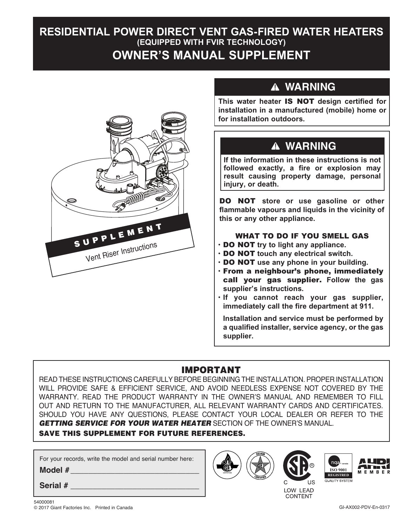# **RESIDENTIAL POWER DIRECT VENT GAS-FIRED WATER HEATERS (EQUIPPED WITH FVIR TECHNOLOGY) OWNER'S MANUAL SUPPLEMENT**



# **WARNING**

**CAUTION** 

**installation in a manufactured (mobile) home or This water heater** IS NOT **design certified for for installation outdoors. CAUCH** 

## **AVERTISSEMENT WARNING**

**If the information in these instructions is not** followed exactly, a fire or explosion may **result causing property damage, personal injury, or death.**

DO NOT **store or use gasoline or other flammable vapours and liquids in the vicinity of this or any other appliance. AVERTISSEMENT**

### WHAT TO DO IF YOU SMELL GAS

- DO NOT **try to light any appliance.**
- DO NOT **touch any electrical switch.**
- DO NOT **use any phone in your building.**
- From a neighbour's phone, immediately call your gas supplier. **Follow the gas supplier's instructions.**
- **If you cannot reach your gas supplier, immediately call the fire department at 911.**

**Installation and service must be performed by a qualified installer, service agency, or the gas supplier.**

## IMPORTANT

READ THESE INSTRUCTIONS CAREFULLY BEFORE BEGINNING THE INSTALLATION. PROPER INSTALLATION WILL PROVIDE SAFE & EFFICIENT SERVICE, AND AVOID NEEDLESS EXPENSE NOT COVERED BY THE WARRANTY. READ THE PRODUCT WARRANTY IN THE OWNER'S MANUAL AND REMEMBER TO FILL OUT AND RETURN TO THE MANUFACTURER, ALL RELEVANT WARRANTY CARDS AND CERTIFICATES. SHOULD YOU HAVE ANY QUESTIONS, PLEASE CONTACT YOUR LOCAL DEALER OR REFER TO THE *GETTING SERVICE FOR YOUR WATER HEATER* SECTION OF THE OWNER'S MANUAL.

## SAVE THIS SUPPLEMENT FOR FUTURE REFERENCES.

For your records, write the model and serial number here:

**Model #** 

Serial #







**ENREGISTRÉ**

LOW LEAD **CONTENT**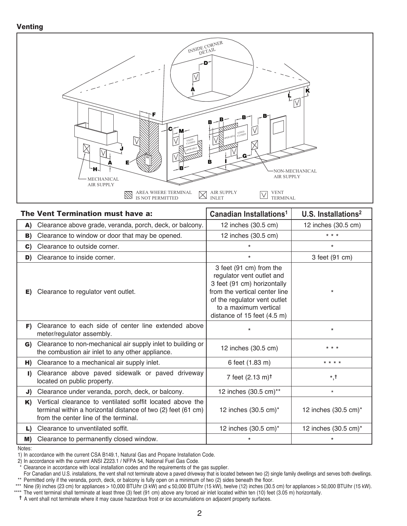#### **Venting**



| The Vent Termination must have a: |                                                                                                                                                                     | Canadian Installations <sup>1</sup>                                                                                                                                                                          | U.S. Installations <sup>2</sup> |
|-----------------------------------|---------------------------------------------------------------------------------------------------------------------------------------------------------------------|--------------------------------------------------------------------------------------------------------------------------------------------------------------------------------------------------------------|---------------------------------|
| A)                                | Clearance above grade, veranda, porch, deck, or balcony.                                                                                                            | 12 inches (30.5 cm)                                                                                                                                                                                          | 12 inches (30.5 cm)             |
| B)                                | Clearance to window or door that may be opened.                                                                                                                     | 12 inches (30.5 cm)                                                                                                                                                                                          | $* * *$                         |
| $\mathbf{C}$                      | Clearance to outside corner.                                                                                                                                        | $\star$                                                                                                                                                                                                      | $\star$                         |
| D)                                | Clearance to inside corner.                                                                                                                                         | $\star$                                                                                                                                                                                                      | 3 feet (91 cm)                  |
| E)                                | Clearance to regulator vent outlet.                                                                                                                                 | 3 feet (91 cm) from the<br>regulator vent outlet and<br>3 feet (91 cm) horizontally<br>from the vertical center line<br>of the regulator vent outlet<br>to a maximum vertical<br>distance of 15 feet (4.5 m) | $\star$                         |
| F)                                | Clearance to each side of center line extended above<br>meter/regulator assembly.                                                                                   | $^\star$                                                                                                                                                                                                     | $\star$                         |
| G)                                | Clearance to non-mechanical air supply inlet to building or<br>the combustion air inlet to any other appliance.                                                     | 12 inches (30.5 cm)                                                                                                                                                                                          | $* * *$                         |
| H)                                | Clearance to a mechanical air supply inlet.                                                                                                                         | 6 feet (1.83 m)                                                                                                                                                                                              | * * * *                         |
| I)                                | Clearance above paved sidewalk or paved driveway<br>located on public property.                                                                                     | 7 feet (2.13 m) <sup>†</sup>                                                                                                                                                                                 | $^{\star},^{\dagger}$           |
| J)                                | Clearance under veranda, porch, deck, or balcony.                                                                                                                   | 12 inches (30.5 cm)**                                                                                                                                                                                        | $\star$                         |
| K)                                | Vertical clearance to ventilated soffit located above the<br>terminal within a horizontal distance of two (2) feet (61 cm)<br>from the center line of the terminal. | 12 inches (30.5 cm)*                                                                                                                                                                                         | 12 inches (30.5 cm)*            |
| L)                                | Clearance to unventilated soffit.                                                                                                                                   | 12 inches (30.5 cm)*                                                                                                                                                                                         | 12 inches (30.5 cm)*            |
| M)                                | Clearance to permanently closed window.                                                                                                                             | $\star$                                                                                                                                                                                                      | $\star$                         |

Notes:

† A vent shall not terminate where it may cause hazardous frost or ice accumulations on adjacent property surfaces.

<sup>1)</sup> In accordance with the current CSA B149.1, Natural Gas and Propane Installation Code.<br>2) In accordance with the current ANSI Z223.1 / NFPA 54, National Fuel Gas Code.

Clearance in accordance with local installation codes and the requirements of the gas supplier.

For Canadian and U.S. installations, the vent shall not terminate above a paved driveway that is located between two (2) single family dwellings and serves both dwellings. \*\* Permitted only if the veranda, porch, deck, or balcony is fully open on a minimum of two (2) sides beneath the floor.

<sup>\*\*\*</sup> Nine (9) inches (23 cm) for appliances > 10,000 BTU/hr (3 kW) and ≤ 50,000 BTU/hr (15 kW), twelve (12) inches (30.5 cm) for appliances > 50,000 BTU/hr (15 kW).<br>\*\*\*\* The vent terminal shall terminate at least three (3)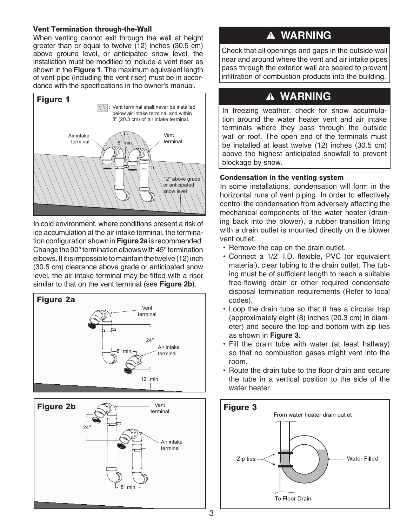### **Vent Termination through-the-Wall**

When venting cannot exit through the wall at height greater than or equal to twelve (12) inches (30.5 cm) above ground level, or anticipated snow level, the installation must be modified to include a vent riser as shown in the **Figure 1**. The maximum equivalent length of vent pipe (including the vent riser) must be in accordance with the specifications in the owner's manual.



In cold environment, where conditions present a risk of ice accumulation at the air intake terminal, the termination configuration shown in **Figure 2a** is recommended. Change the 90° termination elbows with 45° termination elbows. If it is impossible to maintain the twelve (12) inch (30.5 cm) clearance above grade or anticipated snow level, the air intake terminal may be fitted with a riser similar to that on the vent terminal (see **Figure 2b**).





# **WARNING**

near and around where the vent and air intake pipes infiltration of combustion products into the building. Check that all openings and gaps in the outside wall pass through the exterior wall are sealed to prevent

# **WARNING**

In freezing weather, check for snow accumulation around the water heater vent and air intake **AVERTISSEMENT** be installed at least twelve (12) inches (30.5 cm) **ATTENTION** terminals where they pass through the outside wall or roof. The open end of the terminals must above the highest anticipated snowfall to prevent blockage by snow.

### **Condensation in the venting system**

In some installations, condensation will form in the horizontal runs of vent piping. In order to effectively control the condensation from adversely affecting the mechanical components of the water heater (draining back into the blower), a rubber transition fitting with a drain outlet is mounted directly on the blower vent outlet.

- Remove the cap on the drain outlet.
- Connect a 1/2" I.D. flexible, PVC (or equivalent material), clear tubing to the drain outlet. The tubing must be of sufficient length to reach a suitable free-flowing drain or other required condensate disposal termination requirements (Refer to local codes).
- Loop the drain tube so that it has a circular trap (approximately eight (8) inches (20.3 cm) in diameter) and secure the top and bottom with zip ties as shown in **Figure 3.**
- Fill the drain tube with water (at least halfway) so that no combustion gases might vent into the room.
- Route the drain tube to the floor drain and secure the tube in a vertical position to the side of the water heater.